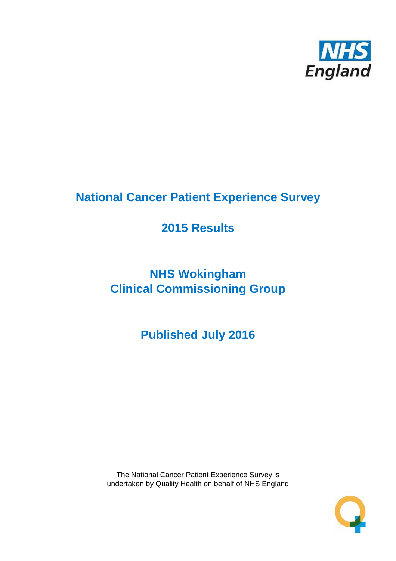

# **National Cancer Patient Experience Survey**

# **2015 Results**

# **NHS Wokingham Clinical Commissioning Group**

**Published July 2016**

The National Cancer Patient Experience Survey is undertaken by Quality Health on behalf of NHS England

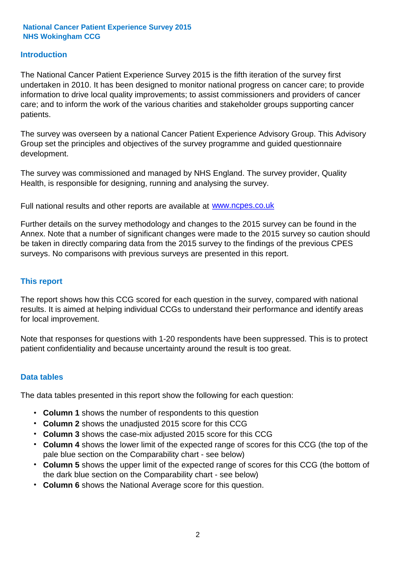#### **Introduction**

The National Cancer Patient Experience Survey 2015 is the fifth iteration of the survey first undertaken in 2010. It has been designed to monitor national progress on cancer care; to provide information to drive local quality improvements; to assist commissioners and providers of cancer care; and to inform the work of the various charities and stakeholder groups supporting cancer patients.

The survey was overseen by a national Cancer Patient Experience Advisory Group. This Advisory Group set the principles and objectives of the survey programme and guided questionnaire development.

The survey was commissioned and managed by NHS England. The survey provider, Quality Health, is responsible for designing, running and analysing the survey.

Full national results and other reports are available at www.ncpes.co.uk

Further details on the survey methodology and changes to the 2015 survey can be found in the Annex. Note that a number of significant changes were made to the 2015 survey so caution should be taken in directly comparing data from the 2015 survey to the findings of the previous CPES surveys. No comparisons with previous surveys are presented in this report.

#### **This report**

The report shows how this CCG scored for each question in the survey, compared with national results. It is aimed at helping individual CCGs to understand their performance and identify areas for local improvement.

Note that responses for questions with 1-20 respondents have been suppressed. This is to protect patient confidentiality and because uncertainty around the result is too great.

#### **Data tables**

The data tables presented in this report show the following for each question:

- **Column 1** shows the number of respondents to this question
- **Column 2** shows the unadjusted 2015 score for this CCG
- **Column 3** shows the case-mix adjusted 2015 score for this CCG
- **Column 4** shows the lower limit of the expected range of scores for this CCG (the top of the pale blue section on the Comparability chart - see below)
- **Column 5** shows the upper limit of the expected range of scores for this CCG (the bottom of the dark blue section on the Comparability chart - see below)
- **Column 6** shows the National Average score for this question.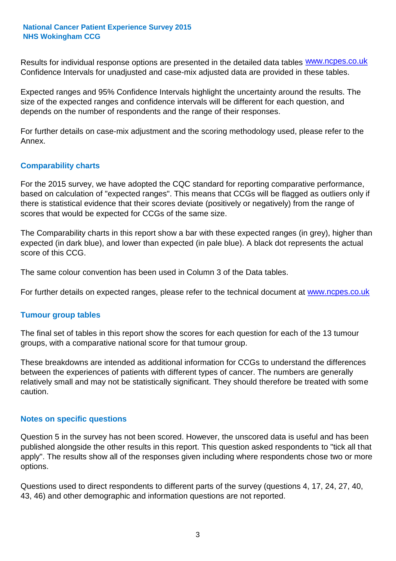Results for individual response options are presented in the detailed data tables **WWW.ncpes.co.uk** Confidence Intervals for unadjusted and case-mix adjusted data are provided in these tables.

Expected ranges and 95% Confidence Intervals highlight the uncertainty around the results. The size of the expected ranges and confidence intervals will be different for each question, and depends on the number of respondents and the range of their responses.

For further details on case-mix adjustment and the scoring methodology used, please refer to the Annex.

#### **Comparability charts**

For the 2015 survey, we have adopted the CQC standard for reporting comparative performance, based on calculation of "expected ranges". This means that CCGs will be flagged as outliers only if there is statistical evidence that their scores deviate (positively or negatively) from the range of scores that would be expected for CCGs of the same size.

The Comparability charts in this report show a bar with these expected ranges (in grey), higher than expected (in dark blue), and lower than expected (in pale blue). A black dot represents the actual score of this CCG.

The same colour convention has been used in Column 3 of the Data tables.

For further details on expected ranges, please refer to the technical document at **www.ncpes.co.uk** 

#### **Tumour group tables**

The final set of tables in this report show the scores for each question for each of the 13 tumour groups, with a comparative national score for that tumour group.

These breakdowns are intended as additional information for CCGs to understand the differences between the experiences of patients with different types of cancer. The numbers are generally relatively small and may not be statistically significant. They should therefore be treated with some caution.

#### **Notes on specific questions**

Question 5 in the survey has not been scored. However, the unscored data is useful and has been published alongside the other results in this report. This question asked respondents to "tick all that apply". The results show all of the responses given including where respondents chose two or more options.

Questions used to direct respondents to different parts of the survey (questions 4, 17, 24, 27, 40, 43, 46) and other demographic and information questions are not reported.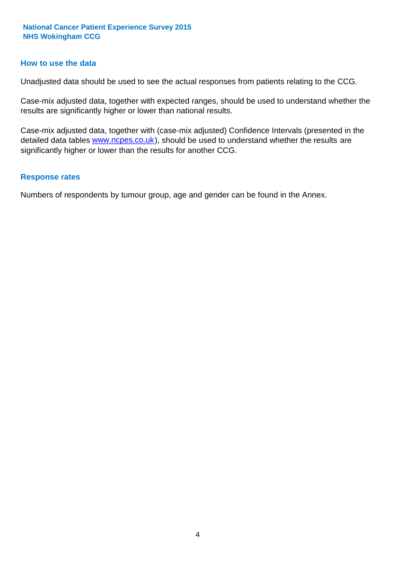#### **How to use the data**

Unadjusted data should be used to see the actual responses from patients relating to the CCG.

Case-mix adjusted data, together with expected ranges, should be used to understand whether the results are significantly higher or lower than national results.

Case-mix adjusted data, together with (case-mix adjusted) Confidence Intervals (presented in the detailed data tables **www.ncpes.co.uk**), should be used to understand whether the results are significantly higher or lower than the results for another CCG.

#### **Response rates**

Numbers of respondents by tumour group, age and gender can be found in the Annex.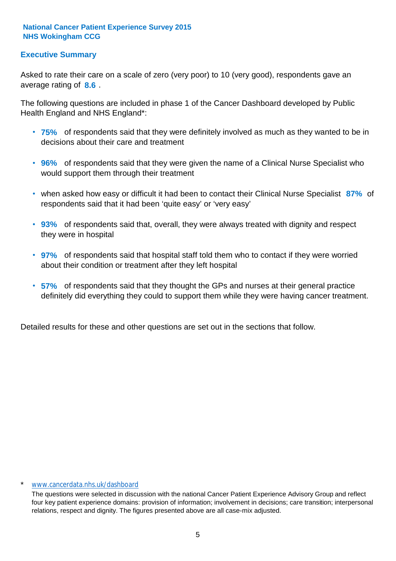#### **Executive Summary**

average rating of 8.6. Asked to rate their care on a scale of zero (very poor) to 10 (very good), respondents gave an

The following questions are included in phase 1 of the Cancer Dashboard developed by Public Health England and NHS England\*:

- **75%** of respondents said that they were definitely involved as much as they wanted to be in decisions about their care and treatment
- **96%** of respondents said that they were given the name of a Clinical Nurse Specialist who would support them through their treatment
- when asked how easy or difficult it had been to contact their Clinical Nurse Specialist 87% of respondents said that it had been 'quite easy' or 'very easy'
- **93%** of respondents said that, overall, they were always treated with dignity and respect they were in hospital
- **97%** of respondents said that hospital staff told them who to contact if they were worried about their condition or treatment after they left hospital
- **57%** of respondents said that they thought the GPs and nurses at their general practice definitely did everything they could to support them while they were having cancer treatment.

Detailed results for these and other questions are set out in the sections that follow.

#### \* www.cancerdata.nhs.uk/dashboard

The questions were selected in discussion with the national Cancer Patient Experience Advisory Group and reflect four key patient experience domains: provision of information; involvement in decisions; care transition; interpersonal relations, respect and dignity. The figures presented above are all case-mix adjusted.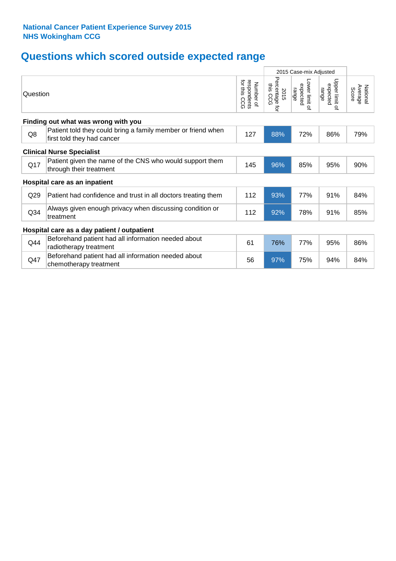# **Questions which scored outside expected range**

|                 |                                                                                            |                                                    |                                     | 2015 Case-mix Adjusted              |                                              |                              |
|-----------------|--------------------------------------------------------------------------------------------|----------------------------------------------------|-------------------------------------|-------------------------------------|----------------------------------------------|------------------------------|
| Question        |                                                                                            | for this<br>respondents<br>Number of<br><b>CCG</b> | Percentage<br>this CCG<br>2015<br>ţ | Lower limit of<br>expected<br>range | Upper limit<br>expected<br>range<br>$\Omega$ | National<br>Average<br>Score |
|                 | Finding out what was wrong with you                                                        |                                                    |                                     |                                     |                                              |                              |
| Q8              | Patient told they could bring a family member or friend when<br>first told they had cancer | 127                                                | 88%                                 | 72%                                 | 86%                                          | 79%                          |
|                 | <b>Clinical Nurse Specialist</b>                                                           |                                                    |                                     |                                     |                                              |                              |
| Q17             | Patient given the name of the CNS who would support them<br>through their treatment        | 145                                                | 96%                                 | 85%                                 | 95%                                          | 90%                          |
|                 | Hospital care as an inpatient                                                              |                                                    |                                     |                                     |                                              |                              |
| Q29             | Patient had confidence and trust in all doctors treating them                              | 112                                                | 93%                                 | 77%                                 | 91%                                          | 84%                          |
| Q <sub>34</sub> | Always given enough privacy when discussing condition or<br>treatment                      | 112                                                | 92%                                 | 78%                                 | 91%                                          | 85%                          |
|                 | Hospital care as a day patient / outpatient                                                |                                                    |                                     |                                     |                                              |                              |
| Q44             | Beforehand patient had all information needed about<br>radiotherapy treatment              | 61                                                 | 76%                                 | 77%                                 | 95%                                          | 86%                          |
| Q47             | Beforehand patient had all information needed about<br>chemotherapy treatment              | 56                                                 | 97%                                 | 75%                                 | 94%                                          | 84%                          |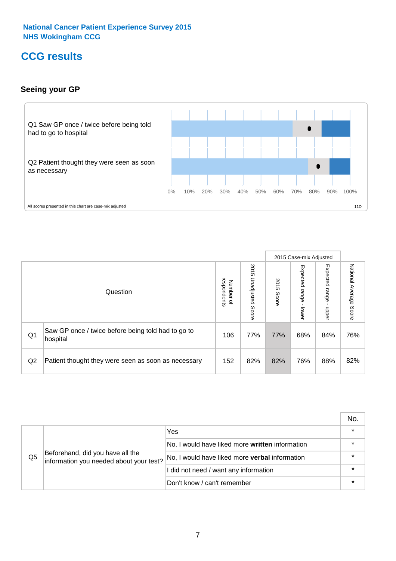### **CCG results**

#### **Seeing your GP**



|    |                                                                |                                         |                             |               | 2015 Case-mix Adjusted     |                            |                        |
|----|----------------------------------------------------------------|-----------------------------------------|-----------------------------|---------------|----------------------------|----------------------------|------------------------|
|    | Question                                                       | respondents<br>Number<br>$\overline{a}$ | 2015<br>Unadjusted<br>Score | 2015<br>Score | Expected<br>range<br>lower | Expected<br>range<br>nbber | National Average Score |
| Q1 | Saw GP once / twice before being told had to go to<br>hospital | 106                                     | 77%                         | 77%           | 68%                        | 84%                        | 76%                    |
| Q2 | Patient thought they were seen as soon as necessary            | 152                                     | 82%                         | 82%           | 76%                        | 88%                        | 82%                    |

|    |                                                                             |                                                 | No. |
|----|-----------------------------------------------------------------------------|-------------------------------------------------|-----|
|    | Beforehand, did you have all the<br>information you needed about your test? | Yes                                             |     |
|    |                                                                             | No, I would have liked more written information |     |
| Q5 |                                                                             | No, I would have liked more verbal information  |     |
|    |                                                                             | I did not need / want any information           |     |
|    |                                                                             | Don't know / can't remember                     |     |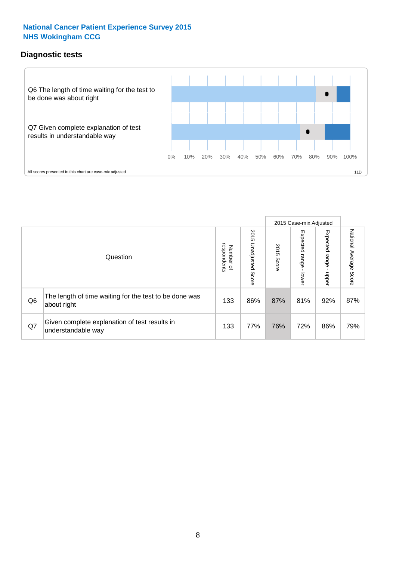#### **Diagnostic tests**



|                |                                                                       |                          |                             |               | 2015 Case-mix Adjusted  |                         |                           |
|----------------|-----------------------------------------------------------------------|--------------------------|-----------------------------|---------------|-------------------------|-------------------------|---------------------------|
|                | Question                                                              | Number of<br>respondents | 2015<br>Unadjusted<br>Score | 2015<br>Score | Expected range<br>lower | Expected range<br>nbber | National Average<br>Score |
| Q <sub>6</sub> | The length of time waiting for the test to be done was<br>about right | 133                      | 86%                         | 87%           | 81%                     | 92%                     | 87%                       |
| Q7             | Given complete explanation of test results in<br>understandable way   | 133                      | 77%                         | 76%           | 72%                     | 86%                     | 79%                       |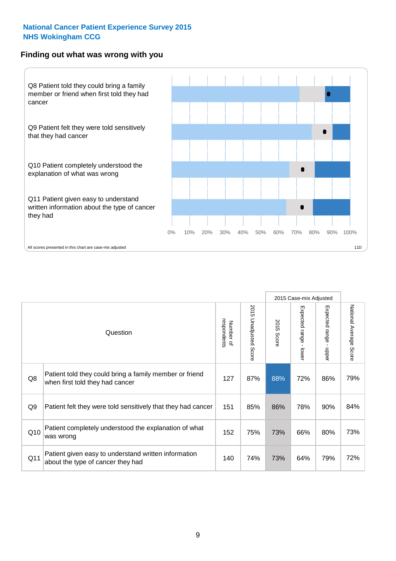#### **Finding out what was wrong with you**



|                |                                                                                            |                          |                                 |                      | 2015 Case-mix Adjusted                  |                        |                        |
|----------------|--------------------------------------------------------------------------------------------|--------------------------|---------------------------------|----------------------|-----------------------------------------|------------------------|------------------------|
|                | Question                                                                                   | respondents<br>Number of | 2015<br><b>Unadjusted Score</b> | 2015<br><b>Score</b> | Expected range<br>$\mathbf{L}$<br>lower | Expected range - upper | National Average Score |
| Q8             | Patient told they could bring a family member or friend<br>when first told they had cancer | 127                      | 87%                             | 88%                  | 72%                                     | 86%                    | 79%                    |
| Q <sub>9</sub> | Patient felt they were told sensitively that they had cancer                               | 151                      | 85%                             | 86%                  | 78%                                     | 90%                    | 84%                    |
| Q10            | Patient completely understood the explanation of what<br>was wrong                         | 152                      | 75%                             | 73%                  | 66%                                     | 80%                    | 73%                    |
| Q11            | Patient given easy to understand written information<br>about the type of cancer they had  | 140                      | 74%                             | 73%                  | 64%                                     | 79%                    | 72%                    |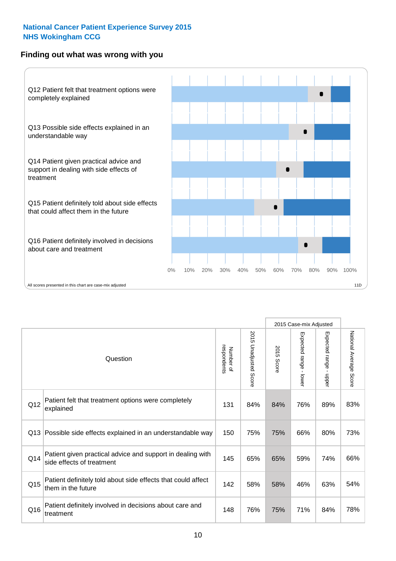#### **Finding out what was wrong with you**



|     |                                                                                         |                          |                                 |               | 2015 Case-mix Adjusted                  |                           |                        |
|-----|-----------------------------------------------------------------------------------------|--------------------------|---------------------------------|---------------|-----------------------------------------|---------------------------|------------------------|
|     | Question                                                                                | Number of<br>respondents | 2015<br><b>Unadjusted Score</b> | 2015<br>Score | Expected range<br>$\mathbf{I}$<br>lower | Expected range -<br>nbber | National Average Score |
| Q12 | Patient felt that treatment options were completely<br>explained                        | 131                      | 84%                             | 84%           | 76%                                     | 89%                       | 83%                    |
| Q13 | Possible side effects explained in an understandable way                                | 150                      | 75%                             | 75%           | 66%                                     | 80%                       | 73%                    |
| Q14 | Patient given practical advice and support in dealing with<br>side effects of treatment | 145                      | 65%                             | 65%           | 59%                                     | 74%                       | 66%                    |
| Q15 | Patient definitely told about side effects that could affect<br>them in the future      | 142                      | 58%                             | 58%           | 46%                                     | 63%                       | 54%                    |
| Q16 | Patient definitely involved in decisions about care and<br>treatment                    | 148                      | 76%                             | 75%           | 71%                                     | 84%                       | 78%                    |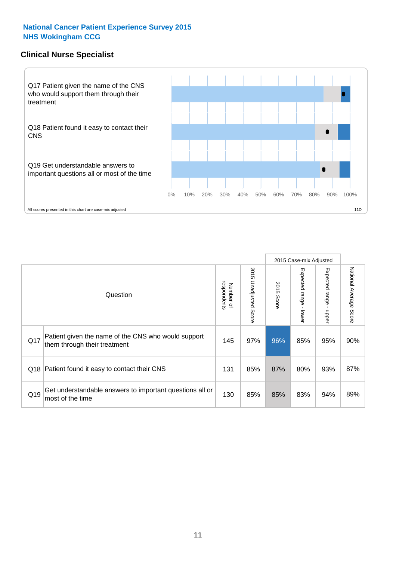#### **Clinical Nurse Specialist**



|     |                                                                                     |                          |                       |               | 2015 Case-mix Adjusted  |                         |                                  |
|-----|-------------------------------------------------------------------------------------|--------------------------|-----------------------|---------------|-------------------------|-------------------------|----------------------------------|
|     | Question                                                                            | Number of<br>respondents | 2015 Unadjusted Score | 2015<br>Score | Expected range<br>lower | Expected range<br>nbber | National Average<br><b>Score</b> |
| Q17 | Patient given the name of the CNS who would support<br>them through their treatment | 145                      | 97%                   | 96%           | 85%                     | 95%                     | 90%                              |
| Q18 | Patient found it easy to contact their CNS                                          | 131                      | 85%                   | 87%           | 80%                     | 93%                     | 87%                              |
| Q19 | Get understandable answers to important questions all or<br>most of the time        | 130                      | 85%                   | 85%           | 83%                     | 94%                     | 89%                              |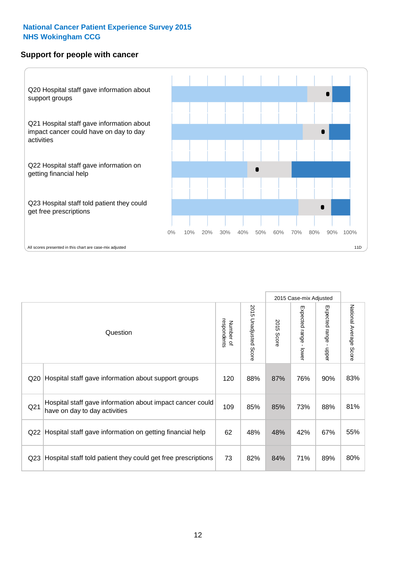#### **Support for people with cancer**



|                 |                                                                                            |                          |                                 |               | 2015 Case-mix Adjusted  |                                           |                        |
|-----------------|--------------------------------------------------------------------------------------------|--------------------------|---------------------------------|---------------|-------------------------|-------------------------------------------|------------------------|
|                 | Question                                                                                   | respondents<br>Number of | 2015<br><b>Unadjusted Score</b> | 2015<br>Score | Expected range<br>lower | Expected range<br>$\blacksquare$<br>nbber | National Average Score |
| Q20             | Hospital staff gave information about support groups                                       | 120                      | 88%                             | 87%           | 76%                     | 90%                                       | 83%                    |
| Q21             | Hospital staff gave information about impact cancer could<br>have on day to day activities | 109                      | 85%                             | 85%           | 73%                     | 88%                                       | 81%                    |
| Q22             | Hospital staff gave information on getting financial help                                  | 62                       | 48%                             | 48%           | 42%                     | 67%                                       | 55%                    |
| Q <sub>23</sub> | Hospital staff told patient they could get free prescriptions                              | 73                       | 82%                             | 84%           | 71%                     | 89%                                       | 80%                    |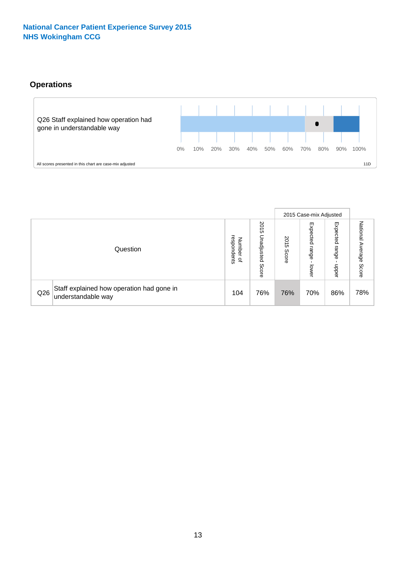#### **Operations**



|     |                                                                 |                                         |                             |                    | 2015 Case-mix Adjusted     |                            |                              |
|-----|-----------------------------------------------------------------|-----------------------------------------|-----------------------------|--------------------|----------------------------|----------------------------|------------------------------|
|     | Question                                                        | respondents<br>Number<br>$\overline{a}$ | 2015<br>Unadjusted<br>Score | 201<br>CΠ<br>Score | Expected<br>range<br>lower | Expected<br>range<br>doper | National<br>Average<br>Score |
| Q26 | Staff explained how operation had gone in<br>understandable way | 104                                     | 76%                         | 76%                | 70%                        | 86%                        | 78%                          |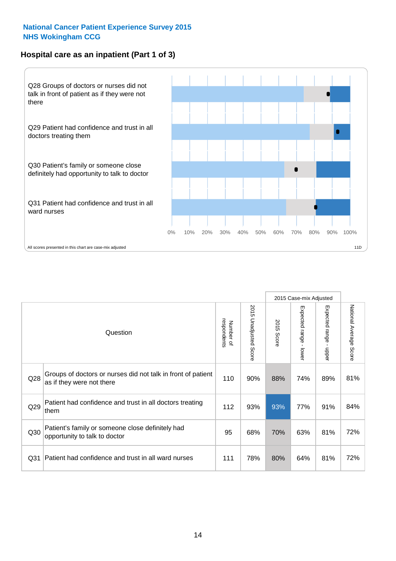#### **Hospital care as an inpatient (Part 1 of 3)**



All scores presented in this chart are case-mix adjusted  $11D$ 

|                 |                                                                                           |                          |                       |               | 2015 Case-mix Adjusted                  |                                           |                        |
|-----------------|-------------------------------------------------------------------------------------------|--------------------------|-----------------------|---------------|-----------------------------------------|-------------------------------------------|------------------------|
|                 | Question                                                                                  | respondents<br>Number of | 2015 Unadjusted Score | 2015<br>Score | Expected range<br>$\mathbf{r}$<br>lower | Expected range<br>$\blacksquare$<br>nbber | National Average Score |
| Q28             | Groups of doctors or nurses did not talk in front of patient<br>as if they were not there | 110                      | 90%                   | 88%           | 74%                                     | 89%                                       | 81%                    |
| Q29             | Patient had confidence and trust in all doctors treating<br>them                          | 112                      | 93%                   | 93%           | 77%                                     | 91%                                       | 84%                    |
| Q30             | Patient's family or someone close definitely had<br>opportunity to talk to doctor         | 95                       | 68%                   | 70%           | 63%                                     | 81%                                       | 72%                    |
| Q <sub>31</sub> | Patient had confidence and trust in all ward nurses                                       | 111                      | 78%                   | 80%           | 64%                                     | 81%                                       | 72%                    |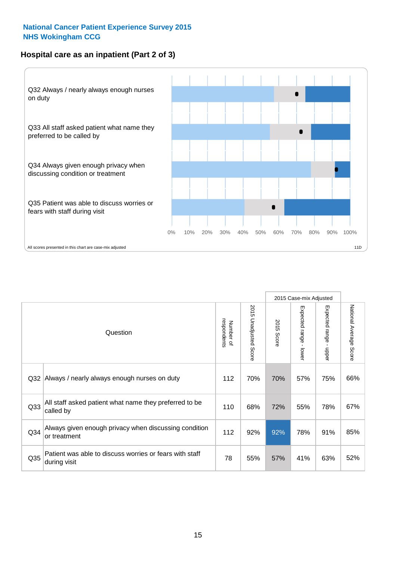#### **Hospital care as an inpatient (Part 2 of 3)**



|                 |                                                                         |                          |                       |               | 2015 Case-mix Adjusted |                                           |                        |
|-----------------|-------------------------------------------------------------------------|--------------------------|-----------------------|---------------|------------------------|-------------------------------------------|------------------------|
|                 | Question                                                                | respondents<br>Number of | 2015 Unadjusted Score | 2015<br>Score | Expected range - lower | Expected range<br>$\blacksquare$<br>nbber | National Average Score |
| Q <sub>32</sub> | Always / nearly always enough nurses on duty                            | 112                      | 70%                   | 70%           | 57%                    | 75%                                       | 66%                    |
| Q <sub>33</sub> | All staff asked patient what name they preferred to be<br>called by     | 110                      | 68%                   | 72%           | 55%                    | 78%                                       | 67%                    |
| Q34             | Always given enough privacy when discussing condition<br>or treatment   | 112                      | 92%                   | 92%           | 78%                    | 91%                                       | 85%                    |
| Q35             | Patient was able to discuss worries or fears with staff<br>during visit | 78                       | 55%                   | 57%           | 41%                    | 63%                                       | 52%                    |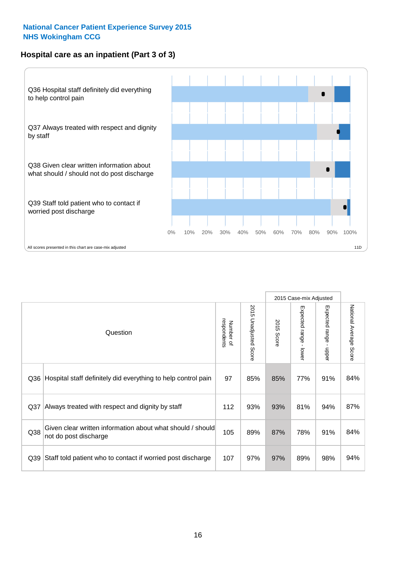#### **Hospital care as an inpatient (Part 3 of 3)**



|                 |                                                                                     |                          |                                 |               | 2015 Case-mix Adjusted                  |                           |                        |
|-----------------|-------------------------------------------------------------------------------------|--------------------------|---------------------------------|---------------|-----------------------------------------|---------------------------|------------------------|
|                 | Question                                                                            | respondents<br>Number of | 2015<br><b>Unadjusted Score</b> | 2015<br>Score | Expected range<br>$\mathbf{r}$<br>lower | Expected range -<br>nbber | National Average Score |
| Q36             | Hospital staff definitely did everything to help control pain                       | 97                       | 85%                             | 85%           | 77%                                     | 91%                       | 84%                    |
| Q <sub>37</sub> | Always treated with respect and dignity by staff                                    | 112                      | 93%                             | 93%           | 81%                                     | 94%                       | 87%                    |
| Q38             | Given clear written information about what should / should<br>not do post discharge | 105                      | 89%                             | 87%           | 78%                                     | 91%                       | 84%                    |
| Q39             | Staff told patient who to contact if worried post discharge                         | 107                      | 97%                             | 97%           | 89%                                     | 98%                       | 94%                    |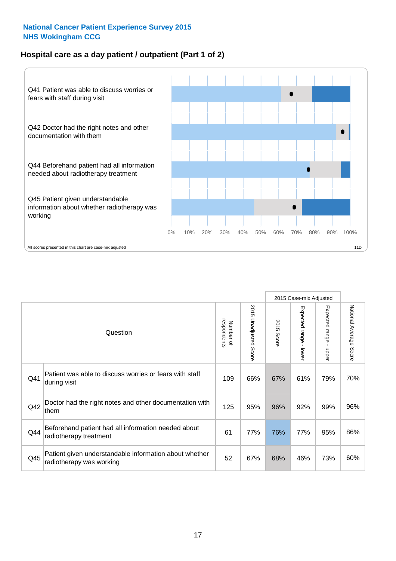#### **Hospital care as a day patient / outpatient (Part 1 of 2)**



|     |                                                                                    |                          |                                 |               | 2015 Case-mix Adjusted                  |                                         |                        |
|-----|------------------------------------------------------------------------------------|--------------------------|---------------------------------|---------------|-----------------------------------------|-----------------------------------------|------------------------|
|     | Question                                                                           | respondents<br>Number of | 2015<br><b>Unadjusted Score</b> | 2015<br>Score | Expected range<br>$\mathbf{I}$<br>lower | Expected range<br>$\mathbf{r}$<br>nbber | National Average Score |
| Q41 | Patient was able to discuss worries or fears with staff<br>during visit            | 109                      | 66%                             | 67%           | 61%                                     | 79%                                     | 70%                    |
| Q42 | Doctor had the right notes and other documentation with<br>them                    | 125                      | 95%                             | 96%           | 92%                                     | 99%                                     | 96%                    |
| Q44 | Beforehand patient had all information needed about<br>radiotherapy treatment      | 61                       | 77%                             | 76%           | 77%                                     | 95%                                     | 86%                    |
| Q45 | Patient given understandable information about whether<br>radiotherapy was working | 52                       | 67%                             | 68%           | 46%                                     | 73%                                     | 60%                    |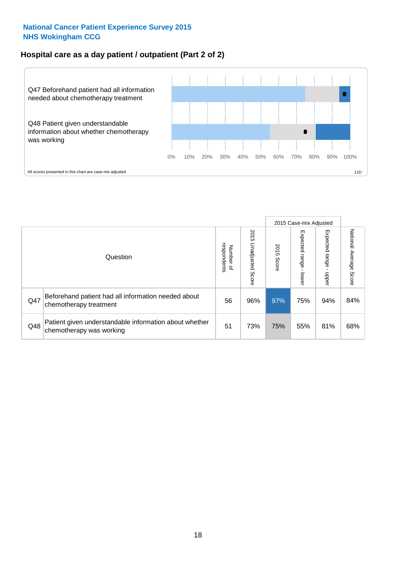#### **Hospital care as a day patient / outpatient (Part 2 of 2)**



|     |                                                                                    |                                   |                             |               |                             | 2015 Case-mix Adjusted     |                           |
|-----|------------------------------------------------------------------------------------|-----------------------------------|-----------------------------|---------------|-----------------------------|----------------------------|---------------------------|
|     | Question                                                                           | respondents<br>Number<br>$\Omega$ | 2015<br>Unadjusted<br>Score | 2015<br>Score | Expected<br> range<br>lower | Expected<br>range<br>nbber | National Average<br>Score |
| Q47 | Beforehand patient had all information needed about<br>chemotherapy treatment      | 56                                | 96%                         | 97%           | 75%                         | 94%                        | 84%                       |
| Q48 | Patient given understandable information about whether<br>chemotherapy was working | 51                                | 73%                         | 75%           | 55%                         | 81%                        | 68%                       |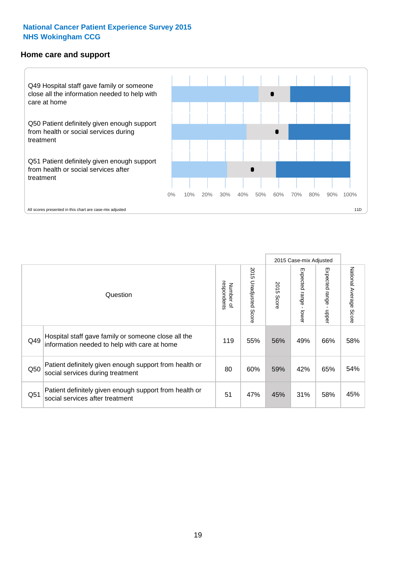#### **Home care and support**



2015 Case-mix Adjusted 2015 Unadjusted Score Expected range - upper National Average Score 2015 Unadjusted Score Expected range - lower National Average Score Expected range - lower Expected range - upper Number of<br>respondents 2015 Score respondents 2015 Score Number of Question Hospital staff gave family or someone close all the  $Q49$  information needed to help with care at home  $119$  |  $55\%$  |  $56\%$  |  $49\%$  |  $66\%$  |  $58\%$ Patient definitely given enough support from health or  $\frac{1}{200}$  social services during treatment  $\frac{1}{200}$   $\frac{1}{200}$   $\frac{60\%}{59\%}$   $\frac{59\%}{42\%}$  65%  $\frac{54\%}{54\%}$ Patient definitely given enough support from health or  $\frac{31}{100}$  social services after treatment  $\frac{31}{100}$   $\frac{47}{100}$   $\frac{47}{100}$   $\frac{45}{100}$   $\frac{45}{100}$   $\frac{45}{100}$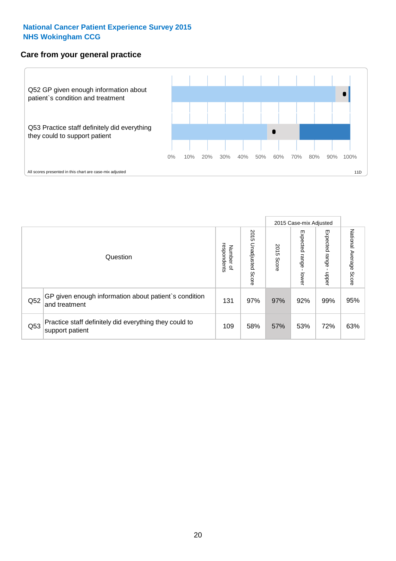#### **Care from your general practice**



|     |                                                                           |                                       |                             |               |                                    | 2015 Case-mix Adjusted     |                           |
|-----|---------------------------------------------------------------------------|---------------------------------------|-----------------------------|---------------|------------------------------------|----------------------------|---------------------------|
|     | Question                                                                  | respondents<br>Number<br>$\mathbf{Q}$ | 2015<br>Unadjusted<br>Score | 2015<br>Score | Expected<br><b>Irange</b><br>lower | Expected<br>range<br>doper | National Average<br>Score |
| Q52 | GP given enough information about patient's condition<br>and treatment    | 131                                   | 97%                         | 97%           | 92%                                | 99%                        | 95%                       |
| Q53 | Practice staff definitely did everything they could to<br>support patient | 109                                   | 58%                         | 57%           | 53%                                | 72%                        | 63%                       |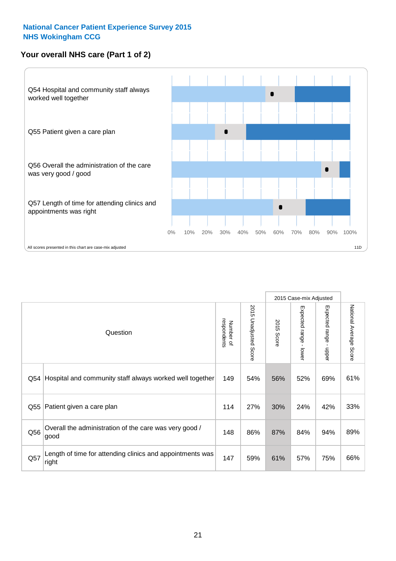#### **Your overall NHS care (Part 1 of 2)**



|     |                                                                    |                          |                                 |                      | 2015 Case-mix Adjusted                    |                                           |                        |
|-----|--------------------------------------------------------------------|--------------------------|---------------------------------|----------------------|-------------------------------------------|-------------------------------------------|------------------------|
|     | Question                                                           | respondents<br>Number of | 2015<br><b>Unadjusted Score</b> | 2015<br><b>Score</b> | Expected range<br>$\blacksquare$<br>lower | Expected range<br>$\blacksquare$<br>nbber | National Average Score |
| Q54 | Hospital and community staff always worked well together           | 149                      | 54%                             | 56%                  | 52%                                       | 69%                                       | 61%                    |
| Q55 | Patient given a care plan                                          | 114                      | 27%                             | 30%                  | 24%                                       | 42%                                       | 33%                    |
| Q56 | Overall the administration of the care was very good /<br>good     | 148                      | 86%                             | 87%                  | 84%                                       | 94%                                       | 89%                    |
| Q57 | Length of time for attending clinics and appointments was<br>right | 147                      | 59%                             | 61%                  | 57%                                       | 75%                                       | 66%                    |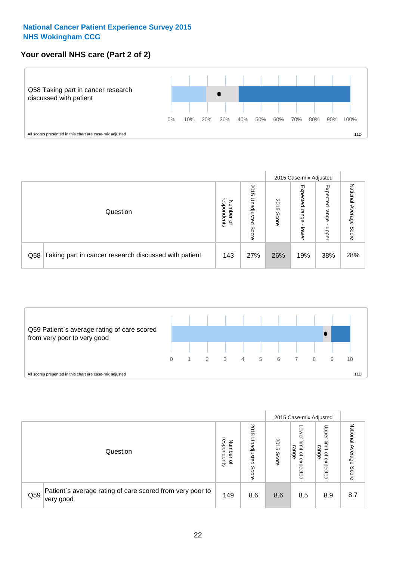#### **Your overall NHS care (Part 2 of 2)**



|     |                                                       |                                   |                             |               |                            | 2015 Case-mix Adjusted     |                           |
|-----|-------------------------------------------------------|-----------------------------------|-----------------------------|---------------|----------------------------|----------------------------|---------------------------|
|     | Question                                              | respondents<br>Number<br>$\Omega$ | 2015<br>Unadjusted<br>Score | 2015<br>Score | Expected<br>range<br>lower | Expected<br>range<br>doper | National<br>Average Score |
| Q58 | Taking part in cancer research discussed with patient | 143                               | 27%                         | 26%           | 19%                        | 38%                        | 28%                       |



|     |                                                                        |                                         |                             |               |                                         | 2015 Case-mix Adjusted                                |                              |
|-----|------------------------------------------------------------------------|-----------------------------------------|-----------------------------|---------------|-----------------------------------------|-------------------------------------------------------|------------------------------|
|     | Question                                                               | respondents<br>Number<br>$\overline{a}$ | 2015<br>Unadjusted<br>Score | 2015<br>Score | OWer<br>limit<br>range<br>٩<br>expected | Upper<br>limit<br>range<br>$\overline{a}$<br>expected | National<br>Average<br>Score |
| Q59 | Patient's average rating of care scored from very poor to<br>very good | 149                                     | 8.6                         | 8.6           | 8.5                                     | 8.9                                                   | 8.7                          |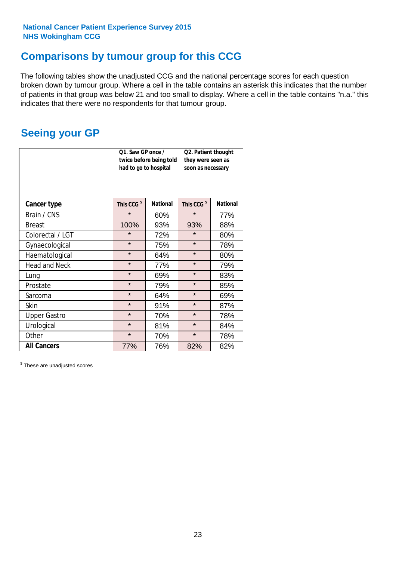### **Comparisons by tumour group for this CCG**

The following tables show the unadjusted CCG and the national percentage scores for each question broken down by tumour group. Where a cell in the table contains an asterisk this indicates that the number of patients in that group was below 21 and too small to display. Where a cell in the table contains "n.a." this indicates that there were no respondents for that tumour group.

### **Seeing your GP**

|                      | Q1. Saw GP once /<br>had to go to hospital | twice before being told | Q2. Patient thought<br>they were seen as<br>soon as necessary |                 |  |
|----------------------|--------------------------------------------|-------------------------|---------------------------------------------------------------|-----------------|--|
| <b>Cancer type</b>   | This CCG <sup>\$</sup>                     | <b>National</b>         | This CCG <sup>\$</sup>                                        | <b>National</b> |  |
| Brain / CNS          | $\star$                                    | 60%                     | $\star$                                                       | 77%             |  |
| <b>Breast</b>        | 100%                                       | 93%                     | 93%                                                           | 88%             |  |
| Colorectal / LGT     | $\star$                                    | 72%                     | $\star$                                                       | 80%             |  |
| Gynaecological       | $\star$                                    | 75%                     | $\star$                                                       | 78%             |  |
| Haematological       | $\star$                                    | 64%                     | $\star$                                                       | 80%             |  |
| <b>Head and Neck</b> | $\star$                                    | 77%                     | $\star$                                                       | 79%             |  |
| Lung                 | $\star$                                    | 69%                     | $\star$                                                       | 83%             |  |
| Prostate             | $\star$                                    | 79%                     | $\star$                                                       | 85%             |  |
| Sarcoma              | $\star$                                    | 64%                     | $\star$                                                       | 69%             |  |
| <b>Skin</b>          | $\star$                                    | 91%                     | $\star$                                                       | 87%             |  |
| <b>Upper Gastro</b>  | $\star$                                    | 70%                     | $\star$                                                       | 78%             |  |
| Urological           | $\star$                                    | 81%                     | $\star$                                                       | 84%             |  |
| Other                | $\star$                                    | 70%                     | $\star$                                                       | 78%             |  |
| <b>All Cancers</b>   | 77%                                        | 76%                     | 82%                                                           | 82%             |  |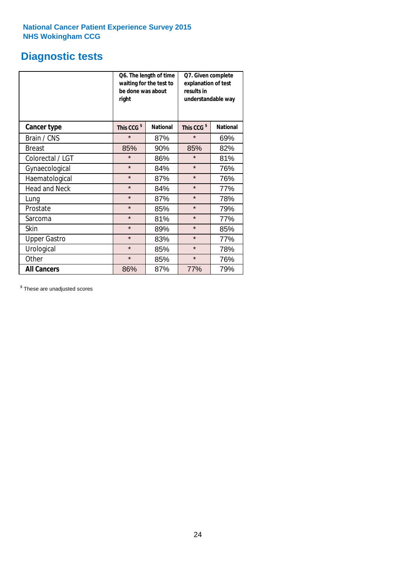### **Diagnostic tests**

|                      | be done was about<br>right | Q6. The length of time<br>waiting for the test to | Q7. Given complete<br>explanation of test<br>results in<br>understandable way |                 |  |
|----------------------|----------------------------|---------------------------------------------------|-------------------------------------------------------------------------------|-----------------|--|
| <b>Cancer type</b>   | This CCG <sup>\$</sup>     | <b>National</b>                                   | This CCG <sup>\$</sup>                                                        | <b>National</b> |  |
| Brain / CNS          | $\star$                    | 87%                                               | $\star$                                                                       | 69%             |  |
| <b>Breast</b>        | 85%                        | 90%                                               | 85%                                                                           | 82%             |  |
| Colorectal / LGT     | $\star$                    | 86%                                               | $\star$                                                                       | 81%             |  |
| Gynaecological       | $\star$                    | 84%                                               | $\star$                                                                       | 76%             |  |
| Haematological       | $\star$                    | 87%                                               | $\star$                                                                       | 76%             |  |
| <b>Head and Neck</b> | $\star$                    | 84%                                               | $\star$                                                                       | 77%             |  |
| Lung                 | $\star$                    | 87%                                               | $\star$                                                                       | 78%             |  |
| Prostate             | $\star$                    | 85%                                               | $\star$                                                                       | 79%             |  |
| Sarcoma              | $\star$                    | 81%                                               | $\star$                                                                       | 77%             |  |
| Skin                 | $\star$                    | 89%                                               | $\star$                                                                       | 85%             |  |
| <b>Upper Gastro</b>  | $\star$                    | 83%                                               | $\star$                                                                       | 77%             |  |
| Urological           | $\star$                    | 85%                                               | $\star$                                                                       | 78%             |  |
| Other                | $\star$                    | 85%                                               | $\star$                                                                       | 76%             |  |
| <b>All Cancers</b>   | 86%                        | 87%                                               | 77%                                                                           | 79%             |  |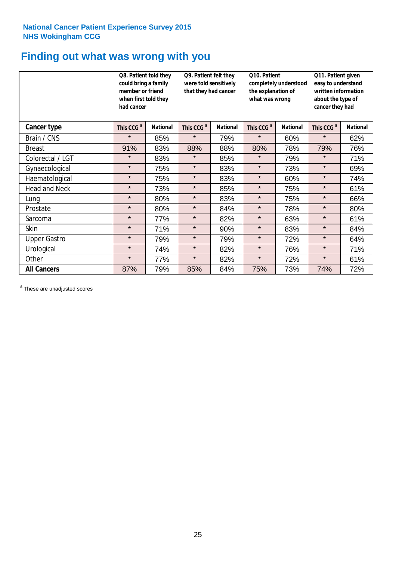### **Finding out what was wrong with you**

|                      | Q8. Patient told they<br>could bring a family<br>member or friend<br>when first told they<br>had cancer |                 | Q9. Patient felt they<br>were told sensitively<br>that they had cancer |                 | Q10. Patient<br>completely understood<br>the explanation of<br>what was wrong |                 | Q11. Patient given<br>easy to understand<br>written information<br>about the type of<br>cancer they had |                 |
|----------------------|---------------------------------------------------------------------------------------------------------|-----------------|------------------------------------------------------------------------|-----------------|-------------------------------------------------------------------------------|-----------------|---------------------------------------------------------------------------------------------------------|-----------------|
| Cancer type          | This CCG <sup>\$</sup>                                                                                  | <b>National</b> | This CCG <sup>\$</sup>                                                 | <b>National</b> | This CCG <sup>\$</sup>                                                        | <b>National</b> | This CCG <sup>\$</sup>                                                                                  | <b>National</b> |
| Brain / CNS          | $\star$                                                                                                 | 85%             | $\star$                                                                | 79%             | $\star$                                                                       | 60%             | $\star$                                                                                                 | 62%             |
| <b>Breast</b>        | 91%                                                                                                     | 83%             | 88%                                                                    | 88%             | 80%                                                                           | 78%             | 79%                                                                                                     | 76%             |
| Colorectal / LGT     | $\star$                                                                                                 | 83%             | $\star$                                                                | 85%             | $\star$                                                                       | 79%             | $\star$                                                                                                 | 71%             |
| Gynaecological       | $\star$                                                                                                 | 75%             | $\star$                                                                | 83%             | $\star$                                                                       | 73%             | $\star$                                                                                                 | 69%             |
| Haematological       | $\star$                                                                                                 | 75%             | $\star$                                                                | 83%             | $\star$                                                                       | 60%             | $\star$                                                                                                 | 74%             |
| <b>Head and Neck</b> | $\star$                                                                                                 | 73%             | $\star$                                                                | 85%             | $\star$                                                                       | 75%             | $\star$                                                                                                 | 61%             |
| Lung                 | $\star$                                                                                                 | 80%             | $\star$                                                                | 83%             | $\star$                                                                       | 75%             | $\star$                                                                                                 | 66%             |
| Prostate             | $\star$                                                                                                 | 80%             | $\star$                                                                | 84%             | $\star$                                                                       | 78%             | $\star$                                                                                                 | 80%             |
| Sarcoma              | $\star$                                                                                                 | 77%             | $\star$                                                                | 82%             | $\star$                                                                       | 63%             | $\star$                                                                                                 | 61%             |
| Skin                 | $\star$                                                                                                 | 71%             | $\star$                                                                | 90%             | $\star$                                                                       | 83%             | $\star$                                                                                                 | 84%             |
| <b>Upper Gastro</b>  | $\star$                                                                                                 | 79%             | $\star$                                                                | 79%             | $\star$                                                                       | 72%             | $\star$                                                                                                 | 64%             |
| Urological           | $\star$                                                                                                 | 74%             | $\star$                                                                | 82%             | $\star$                                                                       | 76%             | $\star$                                                                                                 | 71%             |
| Other                | $\star$                                                                                                 | 77%             | $\star$                                                                | 82%             | $\star$                                                                       | 72%             | $\star$                                                                                                 | 61%             |
| <b>All Cancers</b>   | 87%                                                                                                     | 79%             | 85%                                                                    | 84%             | 75%                                                                           | 73%             | 74%                                                                                                     | 72%             |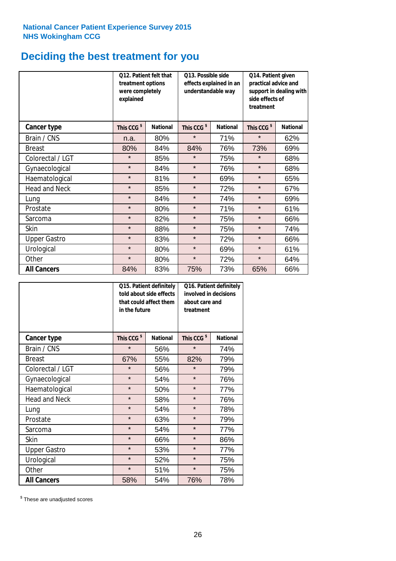# **Deciding the best treatment for you**

|                      | treatment options<br>were completely<br>explained | <b>O12. Patient felt that</b> | O13. Possible side<br>understandable way | effects explained in an | Q14. Patient given<br>practical advice and<br>support in dealing with<br>side effects of<br>treatment |                 |  |
|----------------------|---------------------------------------------------|-------------------------------|------------------------------------------|-------------------------|-------------------------------------------------------------------------------------------------------|-----------------|--|
| <b>Cancer type</b>   | This CCG <sup>\$</sup>                            | <b>National</b>               | This CCG <sup>\$</sup>                   | <b>National</b>         | This CCG <sup>\$</sup>                                                                                | <b>National</b> |  |
| Brain / CNS          | n.a.                                              | 80%                           | $\star$                                  | 71%                     | $\star$                                                                                               | 62%             |  |
| <b>Breast</b>        | 80%                                               | 84%                           | 84%                                      | 76%                     | 73%                                                                                                   | 69%             |  |
| Colorectal / LGT     | $\star$                                           | 85%                           | $\star$                                  | 75%                     | $\star$                                                                                               | 68%             |  |
| Gynaecological       | $\star$                                           | 84%                           | $\star$                                  | 76%                     | $\star$                                                                                               | 68%             |  |
| Haematological       | $\star$                                           | 81%                           | $\star$                                  | 69%                     | $\star$                                                                                               | 65%             |  |
| <b>Head and Neck</b> | $\star$                                           | 85%                           | $\star$                                  | 72%                     | $\star$                                                                                               | 67%             |  |
| Lung                 | $\star$                                           | 84%                           | $\star$                                  | 74%                     | $\star$                                                                                               | 69%             |  |
| Prostate             | $\star$                                           | 80%                           | $\star$                                  | 71%                     | $\star$                                                                                               | 61%             |  |
| Sarcoma              | $\star$                                           | 82%                           | $\star$                                  | 75%                     | $\star$                                                                                               | 66%             |  |
| Skin                 | $\star$                                           | 88%                           | $\star$                                  | 75%                     | $\star$                                                                                               | 74%             |  |
| <b>Upper Gastro</b>  | $\star$                                           | 83%                           | $\star$                                  | 72%                     | $\star$                                                                                               | 66%             |  |
| Urological           | $\star$                                           | 80%                           | $\star$                                  | 69%                     | $\star$                                                                                               | 61%             |  |
| Other                | $\star$                                           | 80%                           | $\star$                                  | 72%                     | $\star$                                                                                               | 64%             |  |
| <b>All Cancers</b>   | 84%                                               | 83%                           | 75%                                      | 73%                     | 65%                                                                                                   | 66%             |  |

|                      | in the future          | Q15. Patient definitely<br>told about side effects<br>that could affect them | Q16. Patient definitely<br>involved in decisions<br>about care and<br>treatment |                 |  |
|----------------------|------------------------|------------------------------------------------------------------------------|---------------------------------------------------------------------------------|-----------------|--|
| <b>Cancer type</b>   | This CCG <sup>\$</sup> | <b>National</b>                                                              | This CCG <sup>\$</sup>                                                          | <b>National</b> |  |
| Brain / CNS          | $\star$                | 56%                                                                          | $\star$                                                                         | 74%             |  |
| <b>Breast</b>        | 67%                    | 55%                                                                          | 82%                                                                             | 79%             |  |
| Colorectal / LGT     | $\star$                | 56%                                                                          | $\star$                                                                         | 79%             |  |
| Gynaecological       | $\star$                | 54%                                                                          | $\star$                                                                         | 76%             |  |
| Haematological       | $\star$<br>50%         |                                                                              | $\star$                                                                         | 77%             |  |
| <b>Head and Neck</b> | $\star$                | 58%                                                                          | $\star$                                                                         | 76%             |  |
| Lung                 | $\star$                | 54%                                                                          | $\star$                                                                         | 78%             |  |
| Prostate             | $\star$                | 63%                                                                          | $\star$                                                                         | 79%             |  |
| Sarcoma              | $\star$                | 54%                                                                          | $\star$                                                                         | 77%             |  |
| <b>Skin</b>          | $\star$                | 66%                                                                          | $\star$                                                                         | 86%             |  |
| <b>Upper Gastro</b>  | $\star$                | 53%                                                                          | $\star$                                                                         | 77%             |  |
| Urological           | $\star$                | 52%                                                                          | $\star$                                                                         | 75%             |  |
| Other                | $\star$                | 51%                                                                          | $\star$                                                                         | 75%             |  |
| <b>All Cancers</b>   | 58%                    | 54%                                                                          | 76%                                                                             | 78%             |  |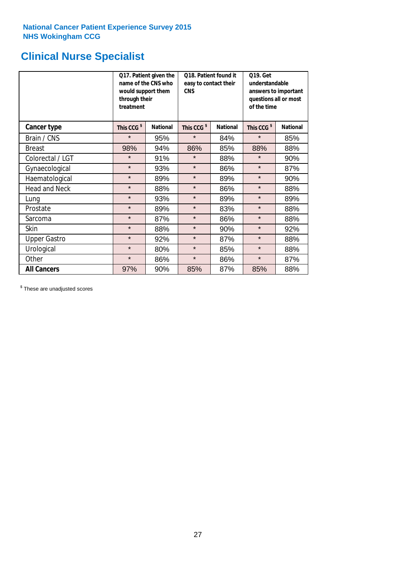# **Clinical Nurse Specialist**

|                      | would support them<br>through their<br>treatment | Q17. Patient given the<br>name of the CNS who | Q18. Patient found it<br>easy to contact their<br><b>CNS</b> |                 | <b>Q19. Get</b><br>understandable<br>answers to important<br>questions all or most<br>of the time |                 |  |
|----------------------|--------------------------------------------------|-----------------------------------------------|--------------------------------------------------------------|-----------------|---------------------------------------------------------------------------------------------------|-----------------|--|
| Cancer type          | This CCG <sup>\$</sup>                           | <b>National</b>                               | This CCG <sup>\$</sup>                                       | <b>National</b> | This CCG <sup>\$</sup>                                                                            | <b>National</b> |  |
| Brain / CNS          | $\star$                                          | 95%                                           | $\star$                                                      | 84%             | $\star$                                                                                           | 85%             |  |
| <b>Breast</b>        | 98%                                              | 94%                                           | 86%                                                          | 85%             | 88%                                                                                               | 88%             |  |
| Colorectal / LGT     | $\star$                                          | 91%                                           | $\star$                                                      | 88%             | $\star$                                                                                           | 90%             |  |
| Gynaecological       | $\star$                                          | 93%                                           | $\star$                                                      | 86%             | $\star$                                                                                           | 87%             |  |
| Haematological       | $\star$                                          | 89%                                           | $\star$                                                      | 89%             | $\star$                                                                                           | 90%             |  |
| <b>Head and Neck</b> | $\star$                                          | 88%                                           | $\star$                                                      | 86%             | $\star$                                                                                           | 88%             |  |
| Lung                 | $\star$                                          | 93%                                           | $\star$                                                      | 89%             | $\star$                                                                                           | 89%             |  |
| Prostate             | $\star$                                          | 89%                                           | $\star$                                                      | 83%             | $\star$                                                                                           | 88%             |  |
| Sarcoma              | $\star$                                          | 87%                                           | $\star$                                                      | 86%             | $\star$                                                                                           | 88%             |  |
| Skin                 | $\star$                                          | 88%                                           | $\star$                                                      | 90%             | $\star$                                                                                           | 92%             |  |
| <b>Upper Gastro</b>  | $\star$                                          | 92%                                           | $\star$                                                      | 87%             | $\star$                                                                                           | 88%             |  |
| Urological           | $\star$                                          | 80%                                           | $\star$                                                      | 85%             | $\star$                                                                                           | 88%             |  |
| Other                | $\star$                                          | 86%                                           | $\star$                                                      | 86%             | $\star$                                                                                           | 87%             |  |
| <b>All Cancers</b>   | 97%                                              | 90%                                           | 85%                                                          | 87%             | 85%                                                                                               | 88%             |  |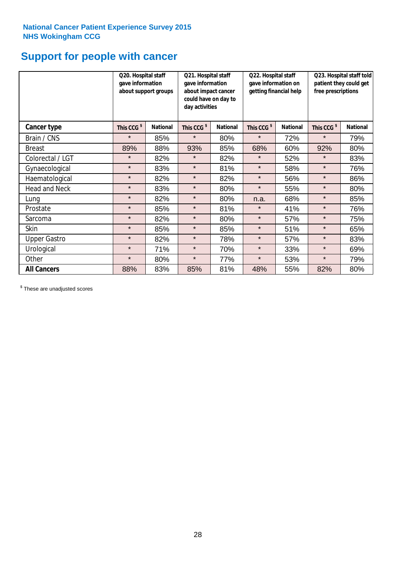# **Support for people with cancer**

|                      | Q20. Hospital staff<br>gave information | about support groups | Q21. Hospital staff<br>gave information<br>about impact cancer<br>could have on day to<br>day activities |                 | Q22. Hospital staff<br>gave information on<br>getting financial help |                 | Q23. Hospital staff told<br>patient they could get<br>free prescriptions |                 |
|----------------------|-----------------------------------------|----------------------|----------------------------------------------------------------------------------------------------------|-----------------|----------------------------------------------------------------------|-----------------|--------------------------------------------------------------------------|-----------------|
| Cancer type          | This CCG <sup>\$</sup>                  | <b>National</b>      | This CCG <sup>\$</sup>                                                                                   | <b>National</b> | This CCG <sup>\$</sup>                                               | <b>National</b> | This CCG <sup>\$</sup>                                                   | <b>National</b> |
| Brain / CNS          | $\star$                                 | 85%                  | $\star$                                                                                                  | 80%             | $\star$                                                              | 72%             | $\star$                                                                  | 79%             |
| <b>Breast</b>        | 89%                                     | 88%                  | 93%                                                                                                      | 85%             | 68%                                                                  | 60%             | 92%                                                                      | 80%             |
| Colorectal / LGT     | $\star$                                 | 82%                  | $\star$                                                                                                  | 82%             | $\star$                                                              | 52%             | $\star$                                                                  | 83%             |
| Gynaecological       | $\star$                                 | 83%                  | $\star$                                                                                                  | 81%             | $\star$                                                              | 58%             | $\star$                                                                  | 76%             |
| Haematological       | $\star$                                 | 82%                  | $\star$                                                                                                  | 82%             | $\star$                                                              | 56%             | $\star$                                                                  | 86%             |
| <b>Head and Neck</b> | $\star$                                 | 83%                  | $\star$                                                                                                  | 80%             | $\star$                                                              | 55%             | $\star$                                                                  | 80%             |
| Lung                 | $\star$                                 | 82%                  | $\star$                                                                                                  | 80%             | n.a.                                                                 | 68%             | $\star$                                                                  | 85%             |
| Prostate             | $\star$                                 | 85%                  | $\star$                                                                                                  | 81%             | $\star$                                                              | 41%             | $\star$                                                                  | 76%             |
| Sarcoma              | $\star$                                 | 82%                  | $\star$                                                                                                  | 80%             | $\star$                                                              | 57%             | $\star$                                                                  | 75%             |
| Skin                 | $\star$                                 | 85%                  | $\star$                                                                                                  | 85%             | $\star$                                                              | 51%             | $\star$                                                                  | 65%             |
| <b>Upper Gastro</b>  | $\star$                                 | 82%                  | $\star$                                                                                                  | 78%             | $\star$                                                              | 57%             | $\star$                                                                  | 83%             |
| Urological           | $\star$                                 | 71%                  | $\star$                                                                                                  | 70%             | $\star$                                                              | 33%             | $\star$                                                                  | 69%             |
| Other                | $\star$                                 | 80%                  | $\star$                                                                                                  | 77%             | $\star$                                                              | 53%             | $\star$                                                                  | 79%             |
| <b>All Cancers</b>   | 88%                                     | 83%                  | 85%                                                                                                      | 81%             | 48%                                                                  | 55%             | 82%                                                                      | 80%             |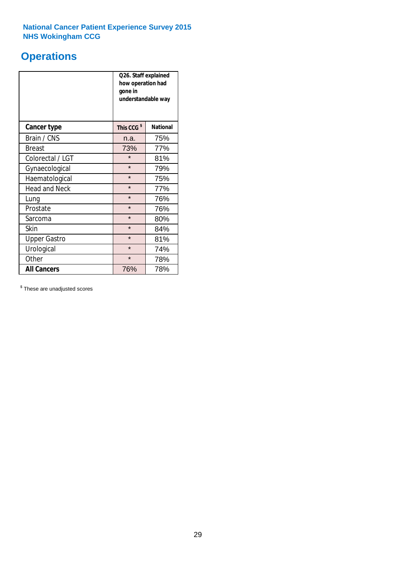# **Operations**

|                      | Q26. Staff explained<br>how operation had<br>gone in<br>understandable way |                 |  |  |
|----------------------|----------------------------------------------------------------------------|-----------------|--|--|
| <b>Cancer type</b>   | This CCG <sup>\$</sup>                                                     | <b>National</b> |  |  |
| Brain / CNS          | n.a.                                                                       | 75%             |  |  |
| <b>Breast</b>        | 73%                                                                        | 77%             |  |  |
| Colorectal / LGT     | $\star$                                                                    | 81%             |  |  |
| Gynaecological       | $\star$                                                                    | 79%             |  |  |
| Haematological       | $\star$                                                                    | 75%             |  |  |
| <b>Head and Neck</b> | $\star$                                                                    | 77%             |  |  |
| Lung                 | $\star$                                                                    | 76%             |  |  |
| Prostate             | $\star$                                                                    | 76%             |  |  |
| Sarcoma              | $\star$                                                                    | 80%             |  |  |
| Skin                 | $\star$                                                                    | 84%             |  |  |
| <b>Upper Gastro</b>  | $\star$                                                                    | 81%             |  |  |
| Urological           | $\star$                                                                    | 74%             |  |  |
| Other                | $\star$<br>78%                                                             |                 |  |  |
| <b>All Cancers</b>   | 76%                                                                        | 78%             |  |  |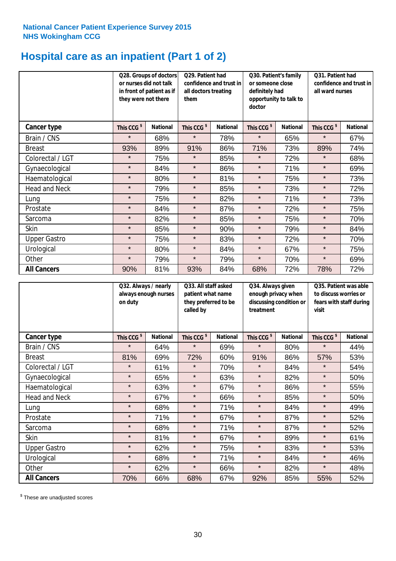# **Hospital care as an inpatient (Part 1 of 2)**

|                      | or nurses did not talk<br>they were not there | Q28. Groups of doctors<br>in front of patient as if | Q29. Patient had<br>confidence and trust in<br>all doctors treating<br>them |                 | Q30. Patient's family<br>or someone close<br>definitely had<br>opportunity to talk to<br>doctor |                 | Q31. Patient had<br>confidence and trust in I<br>all ward nurses |                 |
|----------------------|-----------------------------------------------|-----------------------------------------------------|-----------------------------------------------------------------------------|-----------------|-------------------------------------------------------------------------------------------------|-----------------|------------------------------------------------------------------|-----------------|
| Cancer type          | This CCG <sup>\$</sup>                        | <b>National</b>                                     | This CCG <sup>\$</sup>                                                      | <b>National</b> | This CCG <sup>\$</sup>                                                                          | <b>National</b> | This CCG <sup>\$</sup>                                           | <b>National</b> |
| Brain / CNS          | $\star$                                       | 68%                                                 | $\star$                                                                     | 78%             | $\star$                                                                                         | 65%             | $\star$                                                          | 67%             |
| <b>Breast</b>        | 93%                                           | 89%                                                 | 91%                                                                         | 86%             | 71%                                                                                             | 73%             | 89%                                                              | 74%             |
| Colorectal / LGT     | $\star$                                       | 75%                                                 | $\star$                                                                     | 85%             | $\star$                                                                                         | 72%             | $\star$                                                          | 68%             |
| Gynaecological       | $\star$                                       | 84%                                                 | $\star$                                                                     | 86%             | $\star$                                                                                         | 71%             | $\star$                                                          | 69%             |
| Haematological       | $\star$                                       | 80%                                                 | $\star$                                                                     | 81%             | $\star$                                                                                         | 75%             | $\star$                                                          | 73%             |
| <b>Head and Neck</b> | $\star$                                       | 79%                                                 | $\star$                                                                     | 85%             | $\star$                                                                                         | 73%             | $\star$                                                          | 72%             |
| Lung                 | $\star$                                       | 75%                                                 | $\star$                                                                     | 82%             | $\star$                                                                                         | 71%             | $\star$                                                          | 73%             |
| Prostate             | $\star$                                       | 84%                                                 | $\star$                                                                     | 87%             | $\star$                                                                                         | 72%             | $\star$                                                          | 75%             |
| Sarcoma              | $\star$                                       | 82%                                                 | $\star$                                                                     | 85%             | $\star$                                                                                         | 75%             | $\star$                                                          | 70%             |
| Skin                 | $\star$                                       | 85%                                                 | $\star$                                                                     | 90%             | $\star$                                                                                         | 79%             | $\star$                                                          | 84%             |
| <b>Upper Gastro</b>  | $\star$                                       | 75%                                                 | $\star$                                                                     | 83%             | $\star$                                                                                         | 72%             | $\star$                                                          | 70%             |
| Urological           | $\star$                                       | 80%                                                 | $\star$                                                                     | 84%             | $\star$                                                                                         | 67%             | $\star$                                                          | 75%             |
| Other                | $\star$                                       | 79%                                                 | $\star$                                                                     | 79%             | $\star$                                                                                         | 70%             | $\star$                                                          | 69%             |
| <b>All Cancers</b>   | 90%                                           | 81%                                                 | 93%                                                                         | 84%             | 68%                                                                                             | 72%             | 78%                                                              | 72%             |

|                      | on duty                | Q32. Always / nearly<br>always enough nurses |                        | Q33. All staff asked<br>patient what name<br>they preferred to be<br>called by |                        | Q34. Always given<br>enough privacy when<br>discussing condition or<br>treatment |                        | Q35. Patient was able<br>to discuss worries or<br>fears with staff during<br>visit |  |
|----------------------|------------------------|----------------------------------------------|------------------------|--------------------------------------------------------------------------------|------------------------|----------------------------------------------------------------------------------|------------------------|------------------------------------------------------------------------------------|--|
| <b>Cancer type</b>   | This CCG <sup>\$</sup> | <b>National</b>                              | This CCG <sup>\$</sup> | <b>National</b>                                                                | This CCG <sup>\$</sup> | <b>National</b>                                                                  | This CCG <sup>\$</sup> | <b>National</b>                                                                    |  |
| Brain / CNS          | $\star$                | 64%                                          | $\star$                | 69%                                                                            | $\star$                | 80%                                                                              | $\star$                | 44%                                                                                |  |
| <b>Breast</b>        | 81%                    | 69%                                          | 72%                    | 60%                                                                            | 91%                    | 86%                                                                              | 57%                    | 53%                                                                                |  |
| Colorectal / LGT     | $\star$                | 61%                                          | $\star$                | 70%                                                                            | $\star$                | 84%                                                                              | $\star$                | 54%                                                                                |  |
| Gynaecological       | $\star$                | 65%                                          | $\star$                | 63%                                                                            | $\star$                | 82%                                                                              | $\star$                | 50%                                                                                |  |
| Haematological       | $\star$                | 63%                                          | $\star$                | 67%                                                                            | $\star$                | 86%                                                                              | $\star$                | 55%                                                                                |  |
| <b>Head and Neck</b> | $\star$                | 67%                                          | $\star$                | 66%                                                                            | $\star$                | 85%                                                                              | $\star$                | 50%                                                                                |  |
| Lung                 | $\star$                | 68%                                          | $\star$                | 71%                                                                            | $\star$                | 84%                                                                              | $\star$                | 49%                                                                                |  |
| Prostate             | $\star$                | 71%                                          | $\star$                | 67%                                                                            | $\star$                | 87%                                                                              | $\star$                | 52%                                                                                |  |
| Sarcoma              | $\star$                | 68%                                          | $\star$                | 71%                                                                            | $\star$                | 87%                                                                              | $\star$                | 52%                                                                                |  |
| Skin                 | $\star$                | 81%                                          | $\star$                | 67%                                                                            | $\star$                | 89%                                                                              | $\star$                | 61%                                                                                |  |
| <b>Upper Gastro</b>  | $\star$                | 62%                                          | $\star$                | 75%                                                                            | $\star$                | 83%                                                                              | $\star$                | 53%                                                                                |  |
| Urological           | $\star$                | 68%                                          | $\star$                | 71%                                                                            | $\star$                | 84%                                                                              | $\star$                | 46%                                                                                |  |
| Other                | $\star$                | 62%                                          | $\star$                | 66%                                                                            | $\star$                | 82%                                                                              | $\star$                | 48%                                                                                |  |
| <b>All Cancers</b>   | 70%                    | 66%                                          | 68%                    | 67%                                                                            | 92%                    | 85%                                                                              | 55%                    | 52%                                                                                |  |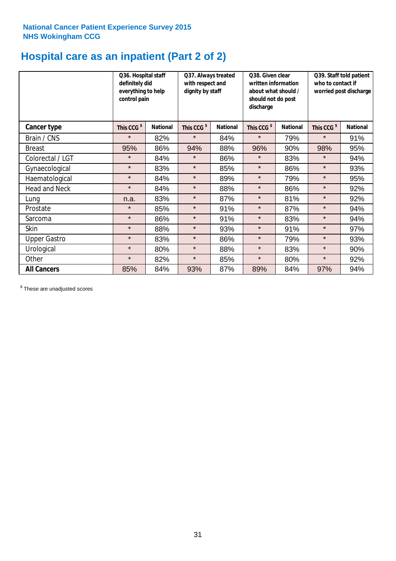# **Hospital care as an inpatient (Part 2 of 2)**

|                      | Q36. Hospital staff<br>definitely did<br>everything to help<br>control pain |                 | Q37. Always treated<br>with respect and<br>dignity by staff |                 | Q38. Given clear<br>written information<br>about what should /<br>should not do post<br>discharge |                 | Q39. Staff told patient<br>who to contact if<br>worried post discharge |                 |
|----------------------|-----------------------------------------------------------------------------|-----------------|-------------------------------------------------------------|-----------------|---------------------------------------------------------------------------------------------------|-----------------|------------------------------------------------------------------------|-----------------|
| Cancer type          | This CCG <sup>\$</sup>                                                      | <b>National</b> | This CCG <sup>\$</sup>                                      | <b>National</b> | This CCG <sup>\$</sup>                                                                            | <b>National</b> | This CCG <sup>\$</sup>                                                 | <b>National</b> |
| Brain / CNS          | $\star$                                                                     | 82%             | $\star$                                                     | 84%             | $\star$                                                                                           | 79%             | $\star$                                                                | 91%             |
| <b>Breast</b>        | 95%                                                                         | 86%             | 94%                                                         | 88%             | 96%                                                                                               | 90%             | 98%                                                                    | 95%             |
| Colorectal / LGT     | $\star$                                                                     | 84%             | $\star$                                                     | 86%             | $\star$                                                                                           | 83%             | $\star$                                                                | 94%             |
| Gynaecological       | $\star$                                                                     | 83%             | $\star$                                                     | 85%             | $\star$                                                                                           | 86%             | $\star$                                                                | 93%             |
| Haematological       | $\star$                                                                     | 84%             | $\star$                                                     | 89%             | $\star$                                                                                           | 79%             | $\star$                                                                | 95%             |
| <b>Head and Neck</b> | $\star$                                                                     | 84%             | $\star$                                                     | 88%             | $\star$                                                                                           | 86%             | $\star$                                                                | 92%             |
| Lung                 | n.a.                                                                        | 83%             | $\star$                                                     | 87%             | $\star$                                                                                           | 81%             | $\star$                                                                | 92%             |
| Prostate             | $\star$                                                                     | 85%             | $\star$                                                     | 91%             | $\star$                                                                                           | 87%             | $\star$                                                                | 94%             |
| Sarcoma              | $\star$                                                                     | 86%             | $\star$                                                     | 91%             | $\star$                                                                                           | 83%             | $\star$                                                                | 94%             |
| Skin                 | $\star$                                                                     | 88%             | $\star$                                                     | 93%             | $\star$                                                                                           | 91%             | $\star$                                                                | 97%             |
| <b>Upper Gastro</b>  | $\star$                                                                     | 83%             | $\star$                                                     | 86%             | $\star$                                                                                           | 79%             | $\star$                                                                | 93%             |
| Urological           | $\star$                                                                     | 80%             | $\star$                                                     | 88%             | $\star$                                                                                           | 83%             | $\star$                                                                | 90%             |
| Other                | $\star$                                                                     | 82%             | $\star$                                                     | 85%             | $\star$                                                                                           | 80%             | $\star$                                                                | 92%             |
| <b>All Cancers</b>   | 85%                                                                         | 84%             | 93%                                                         | 87%             | 89%                                                                                               | 84%             | 97%                                                                    | 94%             |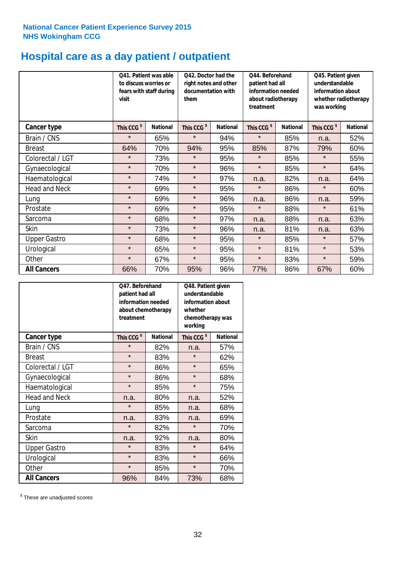# **Hospital care as a day patient / outpatient**

|                      | to discuss worries or<br>visit | Q41. Patient was able<br>fears with staff during | 042. Doctor had the<br>right notes and other<br>documentation with<br>them |                 | Q44. Beforehand<br>patient had all<br>information needed<br>about radiotherapy<br>treatment |                 | Q45. Patient given<br>understandable<br>information about<br>whether radiotherapy<br>was working |                 |
|----------------------|--------------------------------|--------------------------------------------------|----------------------------------------------------------------------------|-----------------|---------------------------------------------------------------------------------------------|-----------------|--------------------------------------------------------------------------------------------------|-----------------|
| <b>Cancer type</b>   | This CCG <sup>\$</sup>         | <b>National</b>                                  | This CCG <sup>\$</sup>                                                     | <b>National</b> | This CCG <sup>\$</sup>                                                                      | <b>National</b> | This CCG <sup>\$</sup>                                                                           | <b>National</b> |
| Brain / CNS          | $\star$                        | 65%                                              | $\star$                                                                    | 94%             | $\star$                                                                                     | 85%             | n.a.                                                                                             | 52%             |
| <b>Breast</b>        | 64%                            | 70%                                              | 94%                                                                        | 95%             | 85%                                                                                         | 87%             | 79%                                                                                              | 60%             |
| Colorectal / LGT     | $\star$                        | 73%                                              | $\star$                                                                    | 95%             | $\star$                                                                                     | 85%             | $\star$                                                                                          | 55%             |
| Gynaecological       | $\star$                        | 70%                                              | $\star$                                                                    | 96%             | $\star$                                                                                     | 85%             | $\star$                                                                                          | 64%             |
| Haematological       | $\star$                        | 74%                                              | $\star$                                                                    | 97%             | n.a.                                                                                        | 82%             | n.a.                                                                                             | 64%             |
| <b>Head and Neck</b> | $\star$                        | 69%                                              | $\star$                                                                    | 95%             | $\star$                                                                                     | 86%             | $\star$                                                                                          | 60%             |
| Lung                 | $\star$                        | 69%                                              | $\star$                                                                    | 96%             | n.a.                                                                                        | 86%             | n.a.                                                                                             | 59%             |
| Prostate             | $\star$                        | 69%                                              | $\star$                                                                    | 95%             | $\star$                                                                                     | 88%             | $\star$                                                                                          | 61%             |
| Sarcoma              | $\star$                        | 68%                                              | $\star$                                                                    | 97%             | n.a.                                                                                        | 88%             | n.a.                                                                                             | 63%             |
| Skin                 | $\star$                        | 73%                                              | $\star$                                                                    | 96%             | n.a.                                                                                        | 81%             | n.a.                                                                                             | 63%             |
| <b>Upper Gastro</b>  | $\star$                        | 68%                                              | $\star$                                                                    | 95%             | $\star$                                                                                     | 85%             | $\star$                                                                                          | 57%             |
| Urological           | $\star$                        | 65%                                              | $\star$                                                                    | 95%             | $\star$                                                                                     | 81%             | $\star$                                                                                          | 53%             |
| Other                | $\star$                        | 67%                                              | $\star$                                                                    | 95%             | $\star$                                                                                     | 83%             | $\star$                                                                                          | 59%             |
| <b>All Cancers</b>   | 66%                            | 70%                                              | 95%                                                                        | 96%             | 77%                                                                                         | 86%             | 67%                                                                                              | 60%             |

|                      | Q47. Beforehand<br>patient had all<br>information needed<br>about chemotherapy<br>treatment |                 | Q48. Patient given<br>understandable<br>information about<br>whether<br>chemotherapy was<br>working |                 |  |
|----------------------|---------------------------------------------------------------------------------------------|-----------------|-----------------------------------------------------------------------------------------------------|-----------------|--|
| <b>Cancer type</b>   | This CCG <sup>\$</sup>                                                                      | <b>National</b> | This CCG <sup>\$</sup>                                                                              | <b>National</b> |  |
| Brain / CNS          | $\star$                                                                                     | 82%             | n.a.                                                                                                | 57%             |  |
| <b>Breast</b>        | $\star$                                                                                     | 83%             | $\star$                                                                                             | 62%             |  |
| Colorectal / LGT     | $\star$                                                                                     | 86%             | $\star$                                                                                             | 65%             |  |
| Gynaecological       | $\star$                                                                                     | 86%             | $\star$                                                                                             | 68%             |  |
| Haematological       | $\star$                                                                                     | 85%             |                                                                                                     | 75%             |  |
| <b>Head and Neck</b> | n.a.                                                                                        | 80%             | n.a.                                                                                                | 52%             |  |
| Lung                 | $\star$                                                                                     | 85%             | n.a.                                                                                                | 68%             |  |
| Prostate             | n.a.                                                                                        | 83%             | n.a.                                                                                                | 69%             |  |
| Sarcoma              | $\star$                                                                                     | 82%             | $\star$                                                                                             | 70%             |  |
| <b>Skin</b>          | n.a.                                                                                        | 92%             | n.a.                                                                                                | 80%             |  |
| <b>Upper Gastro</b>  | $\star$                                                                                     | 83%             | $\star$                                                                                             | 64%             |  |
| Urological           | $\star$                                                                                     | 83%             | $\star$                                                                                             | 66%             |  |
| Other                | $\star$                                                                                     | 85%             | $\star$                                                                                             | 70%             |  |
| <b>All Cancers</b>   | 96%                                                                                         | 84%             | 73%                                                                                                 | 68%             |  |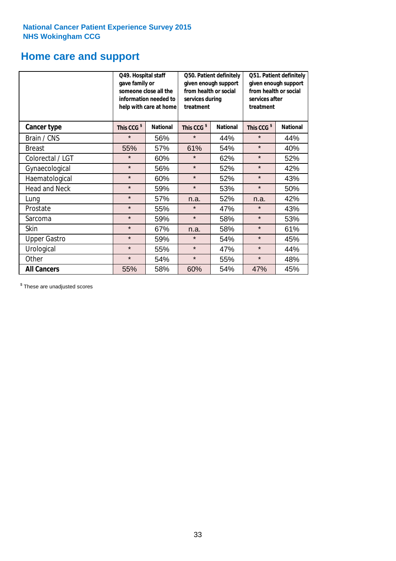### **Home care and support**

|                      | Q49. Hospital staff<br>gave family or | someone close all the<br>information needed to<br>help with care at home | Q50. Patient definitely<br>given enough support<br>from health or social<br>services during<br>treatment<br><b>National</b> |     | Q51. Patient definitely<br>given enough support<br>from health or social<br>services after<br>treatment |                 |
|----------------------|---------------------------------------|--------------------------------------------------------------------------|-----------------------------------------------------------------------------------------------------------------------------|-----|---------------------------------------------------------------------------------------------------------|-----------------|
| <b>Cancer type</b>   | This CCG <sup>\$</sup>                | <b>National</b>                                                          | This CCG <sup>\$</sup>                                                                                                      |     | This CCG <sup>\$</sup>                                                                                  | <b>National</b> |
| Brain / CNS          | $\star$                               | 56%                                                                      | $\star$                                                                                                                     | 44% | $\star$                                                                                                 | 44%             |
| <b>Breast</b>        | 55%                                   | 57%                                                                      | 61%                                                                                                                         | 54% | $\star$                                                                                                 | 40%             |
| Colorectal / LGT     | $\star$                               | 60%                                                                      | $\star$                                                                                                                     | 62% | $\star$                                                                                                 | 52%             |
| Gynaecological       | $\star$                               | 56%                                                                      | $\star$                                                                                                                     | 52% | $\star$                                                                                                 | 42%             |
| Haematological       | $\star$                               | 60%                                                                      | $\star$                                                                                                                     | 52% | $\star$                                                                                                 | 43%             |
| <b>Head and Neck</b> | $\star$                               | 59%                                                                      | $\star$                                                                                                                     | 53% | $\star$                                                                                                 | 50%             |
| Lung                 | $\star$                               | 57%                                                                      | n.a.                                                                                                                        | 52% | n.a.                                                                                                    | 42%             |
| Prostate             | $\star$                               | 55%                                                                      | $\star$                                                                                                                     | 47% | $\star$                                                                                                 | 43%             |
| Sarcoma              | $\star$                               | 59%                                                                      | $\star$                                                                                                                     | 58% | $\star$                                                                                                 | 53%             |
| Skin                 | $\star$                               | 67%                                                                      | n.a.                                                                                                                        | 58% | $\star$                                                                                                 | 61%             |
| <b>Upper Gastro</b>  | $\star$                               | 59%                                                                      | $\star$                                                                                                                     | 54% | $\star$                                                                                                 | 45%             |
| Urological           | $\star$                               | 55%                                                                      | $\star$                                                                                                                     | 47% | $\star$                                                                                                 | 44%             |
| Other                | $\star$                               | 54%                                                                      | $\star$                                                                                                                     | 55% | $\star$                                                                                                 | 48%             |
| <b>All Cancers</b>   | 55%                                   | 58%                                                                      | 60%                                                                                                                         | 54% | 47%                                                                                                     | 45%             |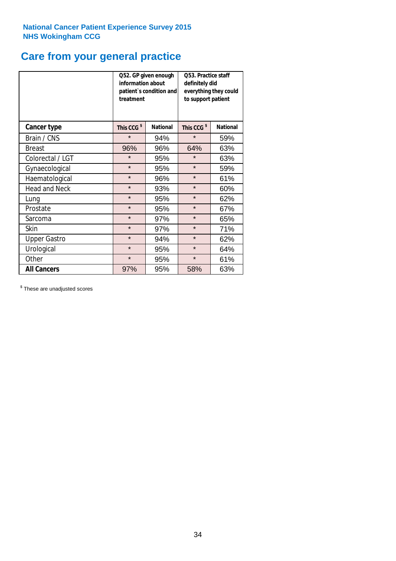# **Care from your general practice**

|                      | information about<br>treatment | Q52. GP given enough<br>patient's condition and | <b>O53. Practice staff</b><br>definitely did<br>everything they could<br>to support patient |                 |  |
|----------------------|--------------------------------|-------------------------------------------------|---------------------------------------------------------------------------------------------|-----------------|--|
| <b>Cancer type</b>   | This CCG <sup>\$</sup>         | <b>National</b>                                 | This CCG <sup>\$</sup>                                                                      | <b>National</b> |  |
| Brain / CNS          | $\star$                        | 94%                                             | $\star$                                                                                     | 59%             |  |
| <b>Breast</b>        | 96%                            | 96%                                             | 64%                                                                                         | 63%             |  |
| Colorectal / LGT     | $\star$                        | 95%                                             | $\star$                                                                                     | 63%             |  |
| Gynaecological       | $\star$                        | 95%                                             | $\star$                                                                                     | 59%             |  |
| Haematological       | $\star$                        | 96%                                             | $\star$                                                                                     | 61%             |  |
| <b>Head and Neck</b> | $\star$                        | 93%                                             | $\star$                                                                                     | 60%             |  |
| Lung                 | $\star$                        | 95%                                             | $\star$                                                                                     | 62%             |  |
| Prostate             | $\star$                        | 95%                                             | $\star$                                                                                     | 67%             |  |
| Sarcoma              | $\star$                        | 97%                                             | $\star$                                                                                     | 65%             |  |
| Skin                 | $\star$                        | 97%                                             | $\star$                                                                                     | 71%             |  |
| <b>Upper Gastro</b>  | $\star$                        | 94%                                             | $\star$                                                                                     | 62%             |  |
| Urological           | $\star$                        | 95%                                             | $\star$                                                                                     | 64%             |  |
| Other                | $\star$                        | 95%                                             | $\star$                                                                                     | 61%             |  |
| <b>All Cancers</b>   | 97%                            | 95%                                             | 58%                                                                                         | 63%             |  |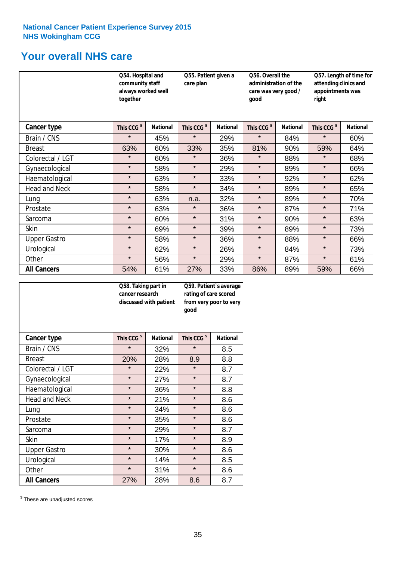### **Your overall NHS care**

|                      | Q54. Hospital and<br>community staff<br>always worked well<br>together |                 | Q55. Patient given a<br>care plan |                 | Q56. Overall the<br>administration of the<br>care was very good /<br>qood |                 | Q57. Length of time for<br>attending clinics and<br>appointments was<br>right |                 |
|----------------------|------------------------------------------------------------------------|-----------------|-----------------------------------|-----------------|---------------------------------------------------------------------------|-----------------|-------------------------------------------------------------------------------|-----------------|
| <b>Cancer type</b>   | This CCG <sup>\$</sup>                                                 | <b>National</b> | This CCG <sup>\$</sup>            | <b>National</b> | This CCG <sup>\$</sup>                                                    | <b>National</b> | This CCG <sup>\$</sup>                                                        | <b>National</b> |
| Brain / CNS          | $\star$                                                                | 45%             | $\star$                           | 29%             | $\star$                                                                   | 84%             | $\star$                                                                       | 60%             |
| <b>Breast</b>        | 63%                                                                    | 60%             | 33%                               | 35%             | 81%                                                                       | 90%             | 59%                                                                           | 64%             |
| Colorectal / LGT     | $\star$                                                                | 60%             | $\star$                           | 36%             | $\star$                                                                   | 88%             | $\star$                                                                       | 68%             |
| Gynaecological       | $\star$                                                                | 58%             | $\star$                           | 29%             | $\star$                                                                   | 89%             | $\star$                                                                       | 66%             |
| Haematological       | $\star$                                                                | 63%             | $\star$                           | 33%             | $\star$                                                                   | 92%             | $\star$                                                                       | 62%             |
| <b>Head and Neck</b> | $\star$                                                                | 58%             | $\star$                           | 34%             | $\star$                                                                   | 89%             | $\star$                                                                       | 65%             |
| Lung                 | $\star$                                                                | 63%             | n.a.                              | 32%             | $\star$                                                                   | 89%             | $\star$                                                                       | 70%             |
| Prostate             | $\star$                                                                | 63%             | $\star$                           | 36%             | $\star$                                                                   | 87%             | $\star$                                                                       | 71%             |
| Sarcoma              | $\star$                                                                | 60%             | $\star$                           | 31%             | $\star$                                                                   | 90%             | $\star$                                                                       | 63%             |
| Skin                 | $\star$                                                                | 69%             | $\star$                           | 39%             | $\star$                                                                   | 89%             | $\star$                                                                       | 73%             |
| <b>Upper Gastro</b>  | $\star$                                                                | 58%             | $\star$                           | 36%             | $\star$                                                                   | 88%             | $\star$                                                                       | 66%             |
| Urological           | $\star$                                                                | 62%             | $\star$                           | 26%             | $\star$                                                                   | 84%             | $\star$                                                                       | 73%             |
| Other                | $\star$                                                                | 56%             | $\star$                           | 29%             | $\star$                                                                   | 87%             | $\star$                                                                       | 61%             |
| <b>All Cancers</b>   | 54%                                                                    | 61%             | 27%                               | 33%             | 86%                                                                       | 89%             | 59%                                                                           | 66%             |

|                      | Q58. Taking part in<br>cancer research | discussed with patient | Q59. Patient's average<br>rating of care scored<br>from very poor to very<br>good |                 |  |
|----------------------|----------------------------------------|------------------------|-----------------------------------------------------------------------------------|-----------------|--|
| <b>Cancer type</b>   | This CCG <sup>\$</sup>                 | <b>National</b>        | This CCG <sup>\$</sup>                                                            | <b>National</b> |  |
| Brain / CNS          | $\star$                                | 32%                    | $\star$                                                                           | 8.5             |  |
| <b>Breast</b>        | 20%                                    | 28%                    | 8.9                                                                               | 8.8             |  |
| Colorectal / LGT     | $\star$                                | 22%                    | $\star$                                                                           | 8.7             |  |
| Gynaecological       | $\star$                                | 27%                    | $\star$                                                                           | 8.7             |  |
| Haematological       | $\star$                                | 36%                    | $\star$                                                                           | 8.8             |  |
| <b>Head and Neck</b> | $\star$                                | 21%                    | $\star$                                                                           | 8.6             |  |
| Lung                 | $\star$                                | 34%                    | $\star$                                                                           | 8.6             |  |
| Prostate             | $\star$                                | 35%                    | $\star$                                                                           | 8.6             |  |
| Sarcoma              | $\star$                                | 29%                    | $\star$                                                                           | 8.7             |  |
| <b>Skin</b>          | $\star$                                | 17%                    | $\star$                                                                           | 8.9             |  |
| <b>Upper Gastro</b>  | $\star$                                | 30%                    | $\star$                                                                           | 8.6             |  |
| Urological           | $\star$                                | 14%                    | $\star$                                                                           | 8.5             |  |
| Other                | $\star$                                | 31%                    | $\star$                                                                           | 8.6             |  |
| <b>All Cancers</b>   | 27%                                    | 28%                    | 8.6                                                                               | 8.7             |  |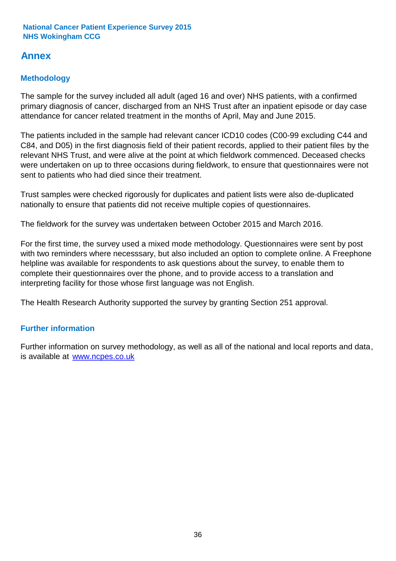### **Annex**

### **Methodology**

The sample for the survey included all adult (aged 16 and over) NHS patients, with a confirmed primary diagnosis of cancer, discharged from an NHS Trust after an inpatient episode or day case attendance for cancer related treatment in the months of April, May and June 2015.

The patients included in the sample had relevant cancer ICD10 codes (C00-99 excluding C44 and C84, and D05) in the first diagnosis field of their patient records, applied to their patient files by the relevant NHS Trust, and were alive at the point at which fieldwork commenced. Deceased checks were undertaken on up to three occasions during fieldwork, to ensure that questionnaires were not sent to patients who had died since their treatment.

Trust samples were checked rigorously for duplicates and patient lists were also de-duplicated nationally to ensure that patients did not receive multiple copies of questionnaires.

The fieldwork for the survey was undertaken between October 2015 and March 2016.

For the first time, the survey used a mixed mode methodology. Questionnaires were sent by post with two reminders where necesssary, but also included an option to complete online. A Freephone helpline was available for respondents to ask questions about the survey, to enable them to complete their questionnaires over the phone, and to provide access to a translation and interpreting facility for those whose first language was not English.

The Health Research Authority supported the survey by granting Section 251 approval.

#### **Further information**

Further information on survey methodology, as well as all of the national and local reports and data, is available at www.ncpes.co.uk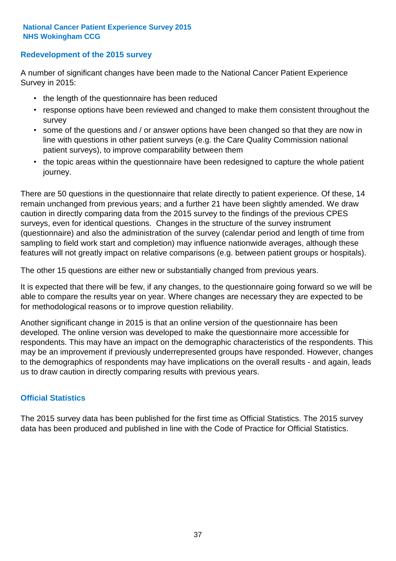#### **Redevelopment of the 2015 survey**

A number of significant changes have been made to the National Cancer Patient Experience Survey in 2015:

- the length of the questionnaire has been reduced
- response options have been reviewed and changed to make them consistent throughout the survey
- some of the questions and / or answer options have been changed so that they are now in line with questions in other patient surveys (e.g. the Care Quality Commission national patient surveys), to improve comparability between them
- the topic areas within the questionnaire have been redesigned to capture the whole patient journey.

There are 50 questions in the questionnaire that relate directly to patient experience. Of these, 14 remain unchanged from previous years; and a further 21 have been slightly amended. We draw caution in directly comparing data from the 2015 survey to the findings of the previous CPES surveys, even for identical questions. Changes in the structure of the survey instrument (questionnaire) and also the administration of the survey (calendar period and length of time from sampling to field work start and completion) may influence nationwide averages, although these features will not greatly impact on relative comparisons (e.g. between patient groups or hospitals).

The other 15 questions are either new or substantially changed from previous years.

It is expected that there will be few, if any changes, to the questionnaire going forward so we will be able to compare the results year on year. Where changes are necessary they are expected to be for methodological reasons or to improve question reliability.

Another significant change in 2015 is that an online version of the questionnaire has been developed. The online version was developed to make the questionnaire more accessible for respondents. This may have an impact on the demographic characteristics of the respondents. This may be an improvement if previously underrepresented groups have responded. However, changes to the demographics of respondents may have implications on the overall results - and again, leads us to draw caution in directly comparing results with previous years.

#### **Official Statistics**

The 2015 survey data has been published for the first time as Official Statistics. The 2015 survey data has been produced and published in line with the Code of Practice for Official Statistics.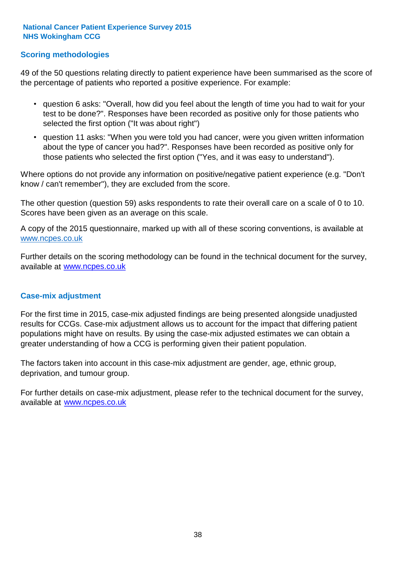#### **Scoring methodologies**

49 of the 50 questions relating directly to patient experience have been summarised as the score of the percentage of patients who reported a positive experience. For example:

- question 6 asks: "Overall, how did you feel about the length of time you had to wait for your test to be done?". Responses have been recorded as positive only for those patients who selected the first option ("It was about right")
- question 11 asks: "When you were told you had cancer, were you given written information about the type of cancer you had?". Responses have been recorded as positive only for those patients who selected the first option ("Yes, and it was easy to understand").

Where options do not provide any information on positive/negative patient experience (e.g. "Don't know / can't remember"), they are excluded from the score.

The other question (question 59) asks respondents to rate their overall care on a scale of 0 to 10. Scores have been given as an average on this scale.

A copy of the 2015 questionnaire, marked up with all of these scoring conventions, is available at www.ncpes.co.uk

Further details on the scoring methodology can be found in the technical document for the survey, available at <u>www.ncpes.co.uk</u>

#### **Case-mix adjustment**

For the first time in 2015, case-mix adjusted findings are being presented alongside unadjusted results for CCGs. Case-mix adjustment allows us to account for the impact that differing patient populations might have on results. By using the case-mix adjusted estimates we can obtain a greater understanding of how a CCG is performing given their patient population.

The factors taken into account in this case-mix adjustment are gender, age, ethnic group, deprivation, and tumour group.

For further details on case-mix adjustment, please refer to the technical document for the survey, available at www.ncpes.co.uk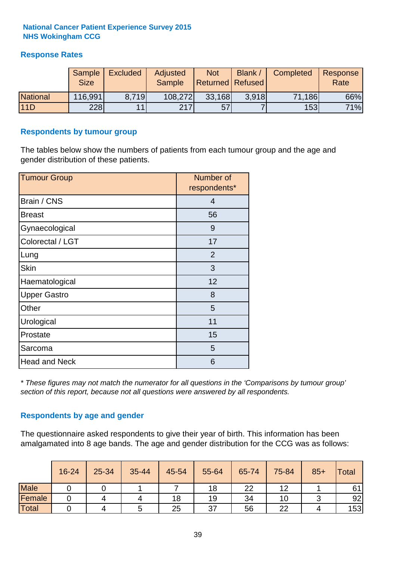#### **Response Rates**

|                 | Sample      | <b>Excluded</b> | Adjusted      | <b>Not</b>              | Blank / | Completed | Response |
|-----------------|-------------|-----------------|---------------|-------------------------|---------|-----------|----------|
|                 | <b>Size</b> |                 | <b>Sample</b> | <b>Returned Refused</b> |         |           | Rate     |
| <b>National</b> | 116,991     | 8.719           | 108,272       | 33,168                  | 3.918   | 71,186    | 66%      |
| 11D             | 228         | 11              | 217           | 57                      |         | 153       | 71%      |

#### **Respondents by tumour group**

The tables below show the numbers of patients from each tumour group and the age and gender distribution of these patients.

| <b>Tumour Group</b>  | Number of<br>respondents* |
|----------------------|---------------------------|
| Brain / CNS          | 4                         |
| <b>Breast</b>        | 56                        |
| Gynaecological       | 9                         |
| Colorectal / LGT     | 17                        |
| Lung                 | 2                         |
| <b>Skin</b>          | 3                         |
| Haematological       | 12                        |
| <b>Upper Gastro</b>  | 8                         |
| Other                | 5                         |
| Urological           | 11                        |
| Prostate             | 15                        |
| Sarcoma              | 5                         |
| <b>Head and Neck</b> | 6                         |

*\* These figures may not match the numerator for all questions in the 'Comparisons by tumour group' section of this report, because not all questions were answered by all respondents.*

#### **Respondents by age and gender**

The questionnaire asked respondents to give their year of birth. This information has been amalgamated into 8 age bands. The age and gender distribution for the CCG was as follows:

|             | 16-24 | 25-34 | 35-44 | 45-54 | 55-64 | 65-74 | 75-84 | $85+$ | Total |
|-------------|-------|-------|-------|-------|-------|-------|-------|-------|-------|
| <b>Male</b> |       |       |       |       | 18    | 22    | 12    |       | 61    |
| Female      |       |       | 4     | 18    | 19    | 34    | 10    |       | 92    |
| Total       |       |       |       | 25    | 37    | 56    | 22    |       | 153   |